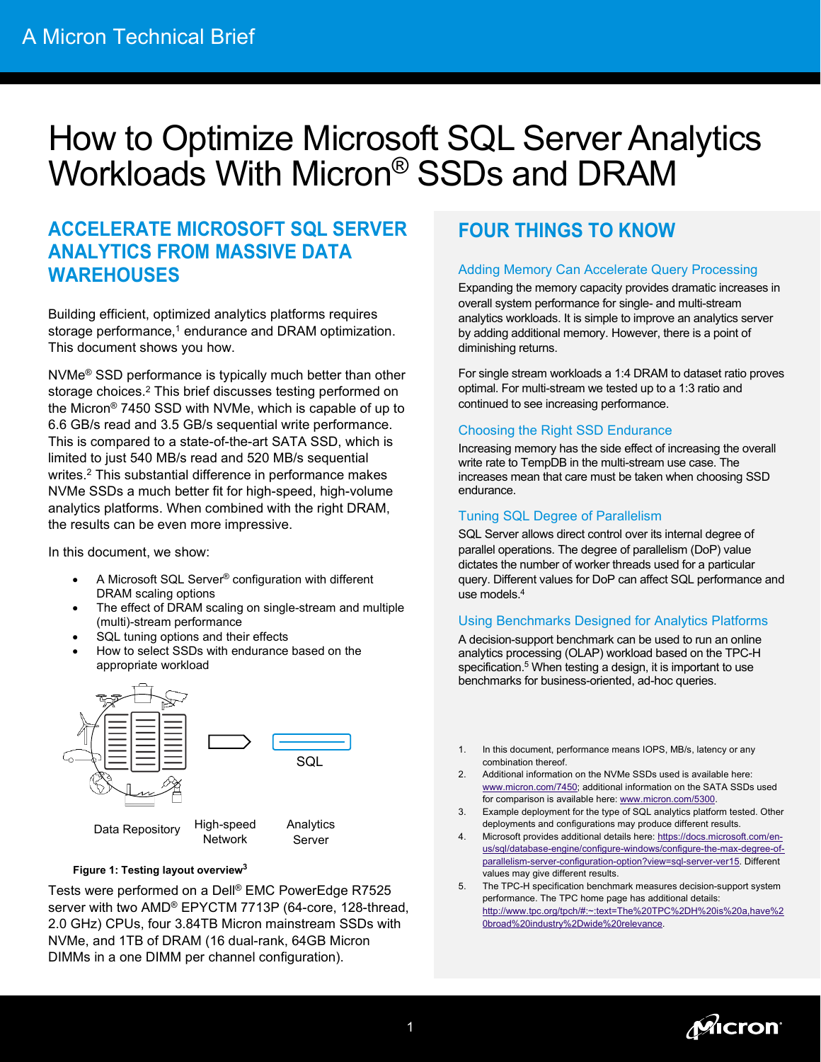# How to Optimize Microsoft SQL Server Analytics Workloads With Micron® SSDs and DRAM

### **ACCELERATE MICROSOFT SQL SERVER ANALYTICS FROM MASSIVE DATA WAREHOUSES**

Building efficient, optimized analytics platforms requires storage performance, <sup>1</sup> endurance and DRAM optimization. This document shows you how.

NVMe® SSD performance is typically much better than other storage choices.2 This brief discusses testing performed on the Micron® 7450 SSD with NVMe, which is capable of up to 6.6 GB/s read and 3.5 GB/s sequential write performance. This is compared to a state-of-the-art SATA SSD, which is limited to just 540 MB/s read and 520 MB/s sequential writes.2 This substantial difference in performance makes NVMe SSDs a much better fit for high-speed, high-volume analytics platforms. When combined with the right DRAM, the results can be even more impressive.

In this document, we show:

- A Microsoft SQL Server® configuration with different DRAM scaling options
- The effect of DRAM scaling on single-stream and multiple (multi)-stream performance
- SQL tuning options and their effects
- How to select SSDs with endurance based on the appropriate workload



#### **Figure 1: Testing layout overview3**

Tests were performed on a Dell® EMC PowerEdge R7525 server with two AMD® EPYCTM 7713P (64-core, 128-thread, 2.0 GHz) CPUs, four 3.84TB Micron mainstream SSDs with NVMe, and 1TB of DRAM (16 dual-rank, 64GB Micron DIMMs in a one DIMM per channel configuration).

# **FOUR THINGS TO KNOW**

### Adding Memory Can Accelerate Query Processing

Expanding the memory capacity provides dramatic increases in overall system performance for single- and multi-stream analytics workloads. It is simple to improve an analytics server by adding additional memory. However, there is a point of diminishing returns.

For single stream workloads a 1:4 DRAM to dataset ratio proves optimal. For multi-stream we tested up to a 1:3 ratio and continued to see increasing performance.

### Choosing the Right SSD Endurance

Increasing memory has the side effect of increasing the overall write rate to TempDB in the multi-stream use case. The increases mean that care must be taken when choosing SSD endurance.

### Tuning SQL Degree of Parallelism

SQL Server allows direct control over its internal degree of parallel operations. The degree of parallelism (DoP) value dictates the number of worker threads used for a particular query. Different values for DoP can affect SQL performance and use models.4

### Using Benchmarks Designed for Analytics Platforms

A decision-support benchmark can be used to run an online analytics processing (OLAP) workload based on the TPC-H specification. <sup>5</sup> When testing a design, it is important to use benchmarks for business-oriented, ad-hoc queries.

- 1. In this document, performance means IOPS, MB/s, latency or any combination thereof.
- 2. Additional information on the NVMe SSDs used is available here: [www.micron.com/7450;](http://www.micron.com/7450) additional information on the SATA SSDs used for comparison is available here[: www.micron.com/5300.](http://www.micron.com/5300)
- 3. Example deployment for the type of SQL analytics platform tested. Other deployments and configurations may produce different results.
- 4. Microsoft provides additional details here[: https://docs.microsoft.com/en](https://docs.microsoft.com/en-us/sql/database-engine/configure-windows/configure-the-max-degree-of-parallelism-server-configuration-option?view=sql-server-ver15)[us/sql/database-engine/configure-windows/configure-the-max-degree-of](https://docs.microsoft.com/en-us/sql/database-engine/configure-windows/configure-the-max-degree-of-parallelism-server-configuration-option?view=sql-server-ver15)[parallelism-server-configuration-option?view=sql-server-ver15.](https://docs.microsoft.com/en-us/sql/database-engine/configure-windows/configure-the-max-degree-of-parallelism-server-configuration-option?view=sql-server-ver15) Different values may give different results.
- 5. The TPC-H specification benchmark measures decision-support system performance. The TPC home page has additional details: [http://www.tpc.org/tpch/#:~:text=The%20TPC%2DH%20is%20a,have%2](http://www.tpc.org/tpch/#:%7E:text=The%20TPC%2DH%20is%20a,have%20broad%20industry%2Dwide%20relevance) [0broad%20industry%2Dwide%20relevance.](http://www.tpc.org/tpch/#:%7E:text=The%20TPC%2DH%20is%20a,have%20broad%20industry%2Dwide%20relevance)

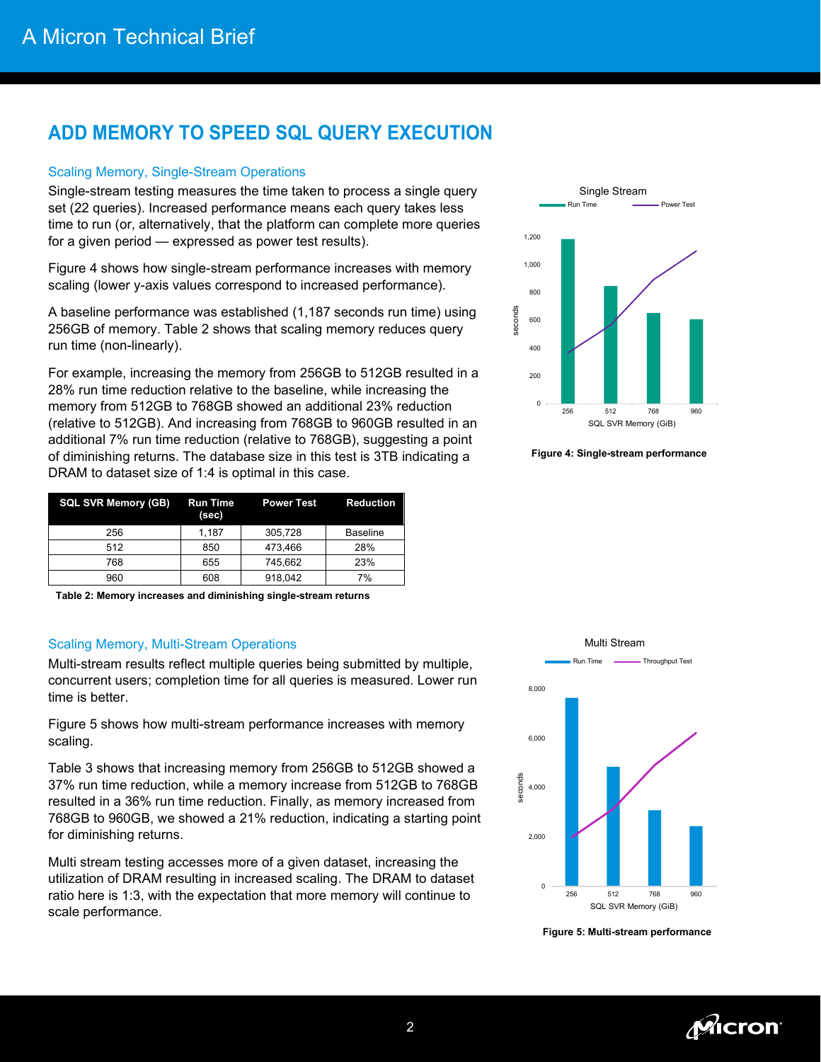## **ADD MEMORY TO SPEED SQL QUERY EXECUTION**

### Scaling Memory, Single-Stream Operations

Single-stream testing measures the time taken to process a single query set (22 queries). Increased performance means each query takes less time to run (or, alternatively, that the platform can complete more queries for a given period — expressed as power test results).

Figure 4 shows how single-stream performance increases with memory scaling (lower y-axis values correspond to increased performance).

A baseline performance was established (1,187 seconds run time) using 256GB of memory. Table 2 shows that scaling memory reduces query run time (non-linearly).

For example, increasing the memory from 256GB to 512GB resulted in a 28% run time reduction relative to the baseline, while increasing the memory from 512GB to 768GB showed an additional 23% reduction (relative to 512GB). And increasing from 768GB to 960GB resulted in an additional 7% run time reduction (relative to 768GB), suggesting a point of diminishing returns. The database size in this test is 3TB indicating a DRAM to dataset size of 1:4 is optimal in this case.

| <b>SQL SVR Memory (GB)</b> | <b>Run Time</b><br>(sec) | <b>Power Test</b> | <b>Reduction</b> |
|----------------------------|--------------------------|-------------------|------------------|
| 256                        | 1.187                    | 305.728           | <b>Baseline</b>  |
| 512                        | 850                      | 473.466           | 28%              |
| 768                        | 655                      | 745.662           | 23%              |
| 960                        | 608                      | 918.042           | 7%               |

**Table 2: Memory increases and diminishing single-stream returns**

### Scaling Memory, Multi-Stream Operations

Multi-stream results reflect multiple queries being submitted by multiple, concurrent users; completion time for all queries is measured. Lower run time is better.

Figure 5 shows how multi-stream performance increases with memory scaling.

Table 3 shows that increasing memory from 256GB to 512GB showed a 37% run time reduction, while a memory increase from 512GB to 768GB resulted in a 36% run time reduction. Finally, as memory increased from 768GB to 960GB, we showed a 21% reduction, indicating a starting point for diminishing returns.

Multi stream testing accesses more of a given dataset, increasing the utilization of DRAM resulting in increased scaling. The DRAM to dataset ratio here is 1:3, with the expectation that more memory will continue to scale performance.



**Figure 4: Single-stream performance**



**Figure 5: Multi-stream performance**

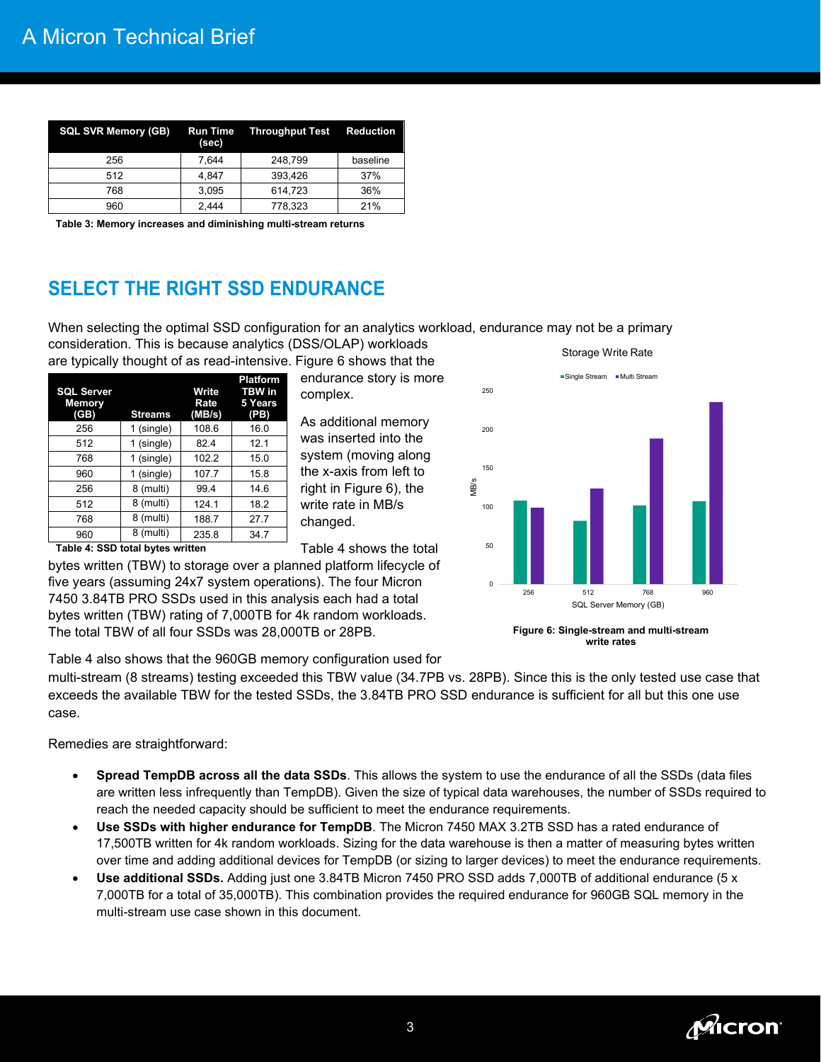| <b>SQL SVR Memory (GB)</b> | (sec) | <b>Run Time Throughput Test Reduction</b> |          |
|----------------------------|-------|-------------------------------------------|----------|
| 256                        | 7.644 | 248.799                                   | baseline |
| 512                        | 4.847 | 393.426                                   | 37%      |
| 768                        | 3,095 | 614,723                                   | 36%      |
| 960                        | 2.444 | 778,323                                   | 21%      |

**Table 3: Memory increases and diminishing multi-stream returns**

# **SELECT THE RIGHT SSD ENDURANCE**

When selecting the optimal SSD configuration for an analytics workload, endurance may not be a primary consideration. This is because analytics (DSS/OLAP) workloads Storage Write Rate

are typically thought of as read-intensive. Figure 6 shows that the

| <b>SQL Server</b><br><b>Memory</b><br>(GB) | <b>Streams</b> | Write<br>Rate<br>(MB/s) | <b>Platform</b><br><b>TBW</b> in<br>5 Years<br>(PB) |
|--------------------------------------------|----------------|-------------------------|-----------------------------------------------------|
| 256                                        | 1 (single)     | 108.6                   | 16.0                                                |
| 512                                        | 1 (single)     | 82.4                    | 12.1                                                |
| 768                                        | 1 (single)     | 102.2                   | 15.0                                                |
| 960                                        | 1 (single)     | 107.7                   | 15.8                                                |
| 256                                        | 8 (multi)      | 99.4                    | 14.6                                                |
| 512                                        | 8 (multi)      | 124.1                   | 18.2                                                |
| 768                                        | 8 (multi)      | 188.7                   | 27.7                                                |
| 960                                        | 8 (multi)      | 235.8                   | 34.7                                                |

endurance story is more complex.

As additional memory was inserted into the system (moving along the x-axis from left to right in Figure 6), the write rate in MB/s changed.

0 50 100 150 200 250 256 512 768 960 MB/s SQL Server Memory (GB) Single Stream Multi Stream

> **Figure 6: Single-stream and multi-stream write rates**

**Table 4: SSD total bytes written**

Table 4 shows the total bytes written (TBW) to storage over a planned platform lifecycle of five years (assuming 24x7 system operations). The four Micron 7450 3.84TB PRO SSDs used in this analysis each had a total bytes written (TBW) rating of 7,000TB for 4k random workloads. The total TBW of all four SSDs was 28,000TB or 28PB.

Table 4 also shows that the 960GB memory configuration used for

multi-stream (8 streams) testing exceeded this TBW value (34.7PB vs. 28PB). Since this is the only tested use case that exceeds the available TBW for the tested SSDs, the 3.84TB PRO SSD endurance is sufficient for all but this one use case.

Remedies are straightforward:

- **Spread TempDB across all the data SSDs**. This allows the system to use the endurance of all the SSDs (data files are written less infrequently than TempDB). Given the size of typical data warehouses, the number of SSDs required to reach the needed capacity should be sufficient to meet the endurance requirements.
- **Use SSDs with higher endurance for TempDB**. The Micron 7450 MAX 3.2TB SSD has a rated endurance of 17,500TB written for 4k random workloads. Sizing for the data warehouse is then a matter of measuring bytes written over time and adding additional devices for TempDB (or sizing to larger devices) to meet the endurance requirements.
- **Use additional SSDs.** Adding just one 3.84TB Micron 7450 PRO SSD adds 7,000TB of additional endurance (5 x 7,000TB for a total of 35,000TB). This combination provides the required endurance for 960GB SQL memory in the multi-stream use case shown in this document.

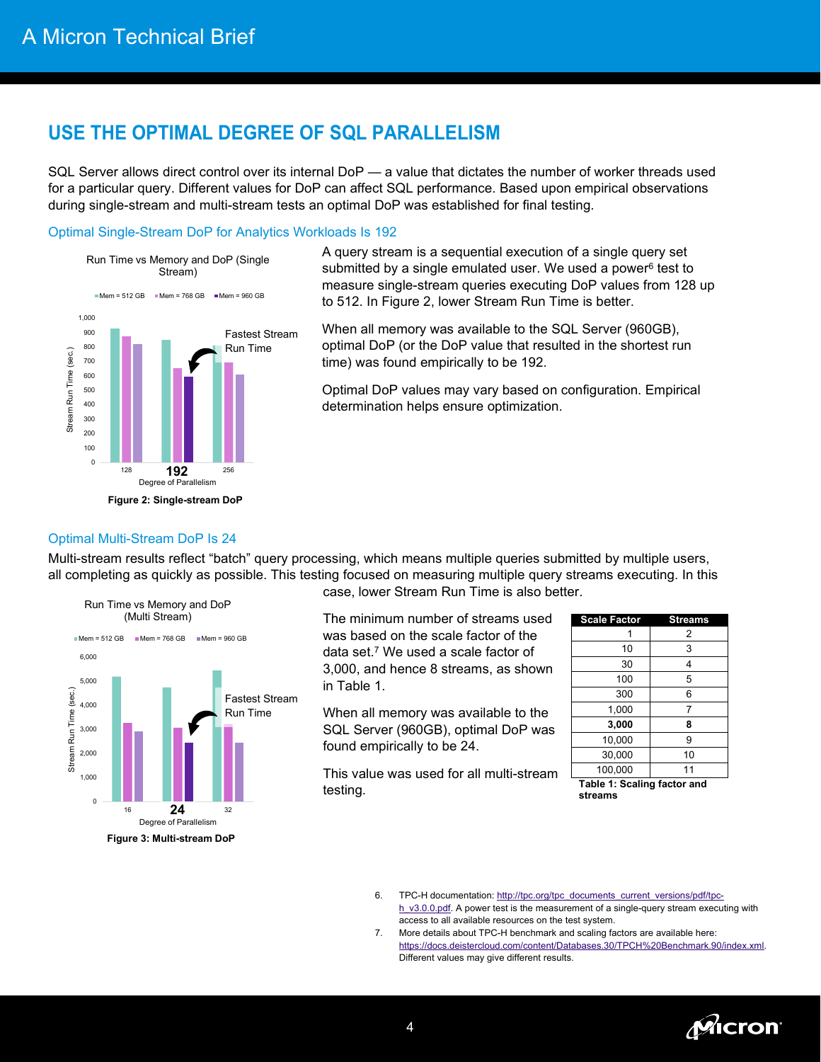### **USE THE OPTIMAL DEGREE OF SQL PARALLELISM**

SQL Server allows direct control over its internal DoP — a value that dictates the number of worker threads used for a particular query. Different values for DoP can affect SQL performance. Based upon empirical observations during single-stream and multi-stream tests an optimal DoP was established for final testing.

### Optimal Single-Stream DoP for Analytics Workloads Is 192



A query stream is a sequential execution of a single query set submitted by a single emulated user. We used a power<sup>6</sup> test to measure single-stream queries executing DoP values from 128 up to 512. In Figure 2, lower Stream Run Time is better.

When all memory was available to the SQL Server (960GB), optimal DoP (or the DoP value that resulted in the shortest run time) was found empirically to be 192.

Optimal DoP values may vary based on configuration. Empirical determination helps ensure optimization.

### Optimal Multi-Stream DoP Is 24

Multi-stream results reflect "batch" query processing, which means multiple queries submitted by multiple users, all completing as quickly as possible. This testing focused on measuring multiple query streams executing. In this



case, lower Stream Run Time is also better.

The minimum number of streams used was based on the scale factor of the data set.<sup>7</sup> We used a scale factor of 3,000, and hence 8 streams, as shown in Table 1.

When all memory was available to the SQL Server (960GB), optimal DoP was found empirically to be 24.

This value was used for all multi-stream testing.

| <b>Scale Factor</b> | <b>Streams</b> |
|---------------------|----------------|
|                     | 2              |
| 10                  | 3              |
| 30                  | 4              |
| 100                 | 5              |
| 300                 | 6              |
| 1,000               | 7              |
| 3,000               | 8              |
| 10,000              | 9              |
| 30,000              | 10             |
| 100,000             | 11             |

**Table 1: Scaling factor and streams**

- 6. TPC-H documentation: [http://tpc.org/tpc\\_documents\\_current\\_versions/pdf/tpc](http://tpc.org/tpc_documents_current_versions/pdf/tpc-h_v3.0.0.pdf)[h\\_v3.0.0.pdf.](http://tpc.org/tpc_documents_current_versions/pdf/tpc-h_v3.0.0.pdf) A power test is the measurement of a single-query stream executing with access to all available resources on the test system.
- 7. More details about TPC-H benchmark and scaling factors are available here: [https://docs.deistercloud.com/content/Databases.30/TPCH%20Benchmark.90/index.xml.](https://docs.deistercloud.com/content/Databases.30/TPCH%20Benchmark.90/index.xml)  Different values may give different results.

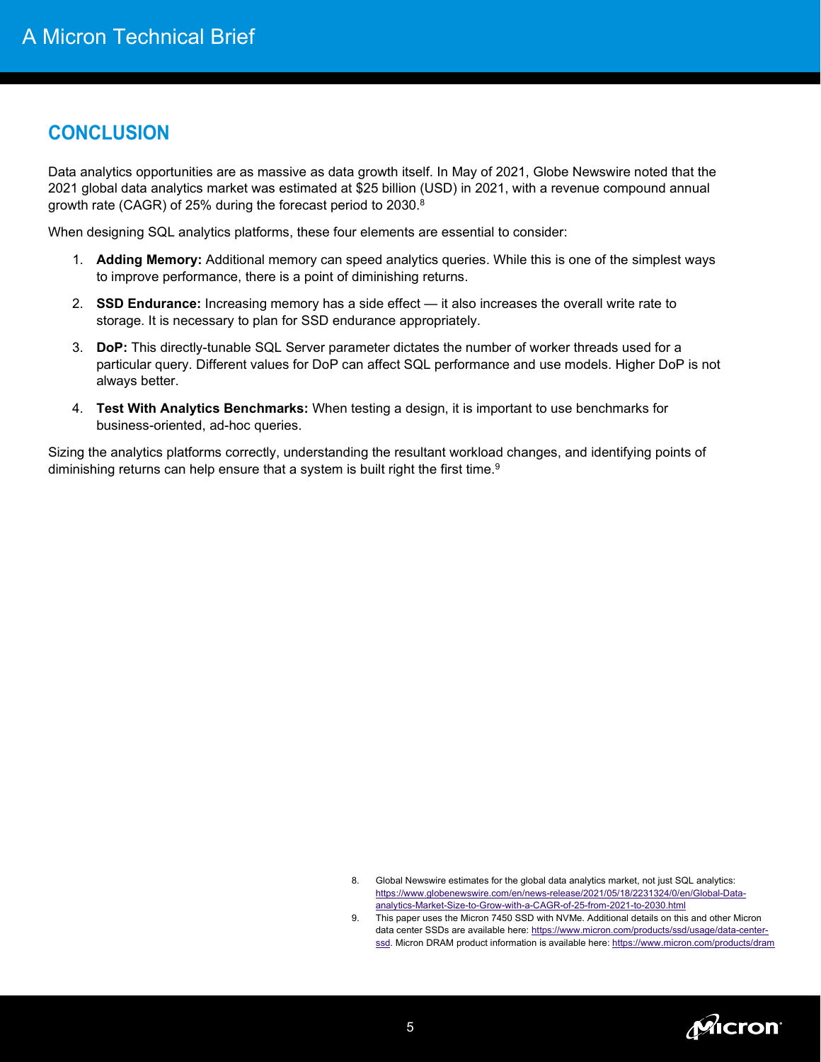# **CONCLUSION**

Data analytics opportunities are as massive as data growth itself. In May of 2021, Globe Newswire noted that the 2021 global data analytics market was estimated at \$25 billion (USD) in 2021, with a revenue compound annual growth rate (CAGR) of 25% during the forecast period to 2030.8

When designing SQL analytics platforms, these four elements are essential to consider:

- 1. **Adding Memory:** Additional memory can speed analytics queries. While this is one of the simplest ways to improve performance, there is a point of diminishing returns.
- 2. **SSD Endurance:** Increasing memory has a side effect it also increases the overall write rate to storage. It is necessary to plan for SSD endurance appropriately.
- 3. **DoP:** This directly-tunable SQL Server parameter dictates the number of worker threads used for a particular query. Different values for DoP can affect SQL performance and use models. Higher DoP is not always better.
- 4. **Test With Analytics Benchmarks:** When testing a design, it is important to use benchmarks for business-oriented, ad-hoc queries.

Sizing the analytics platforms correctly, understanding the resultant workload changes, and identifying points of diminishing returns can help ensure that a system is built right the first time.<sup>9</sup>



<sup>8.</sup> Global Newswire estimates for the global data analytics market, not just SQL analytics: [https://www.globenewswire.com/en/news-release/2021/05/18/2231324/0/en/Global-Data](https://www.globenewswire.com/en/news-release/2021/05/18/2231324/0/en/Global-Data-analytics-Market-Size-to-Grow-with-a-CAGR-of-25-from-2021-to-2030.html)[analytics-Market-Size-to-Grow-with-a-CAGR-of-25-from-2021-to-2030.html](https://www.globenewswire.com/en/news-release/2021/05/18/2231324/0/en/Global-Data-analytics-Market-Size-to-Grow-with-a-CAGR-of-25-from-2021-to-2030.html) 

<sup>9.</sup> This paper uses the Micron 7450 SSD with NVMe. Additional details on this and other Micron data center SSDs are available here[: https://www.micron.com/products/ssd/usage/data-center](https://www.micron.com/products/ssd/usage/data-center-ssd)[ssd.](https://www.micron.com/products/ssd/usage/data-center-ssd) Micron DRAM product information is available here: https://www.micron.com/products/dram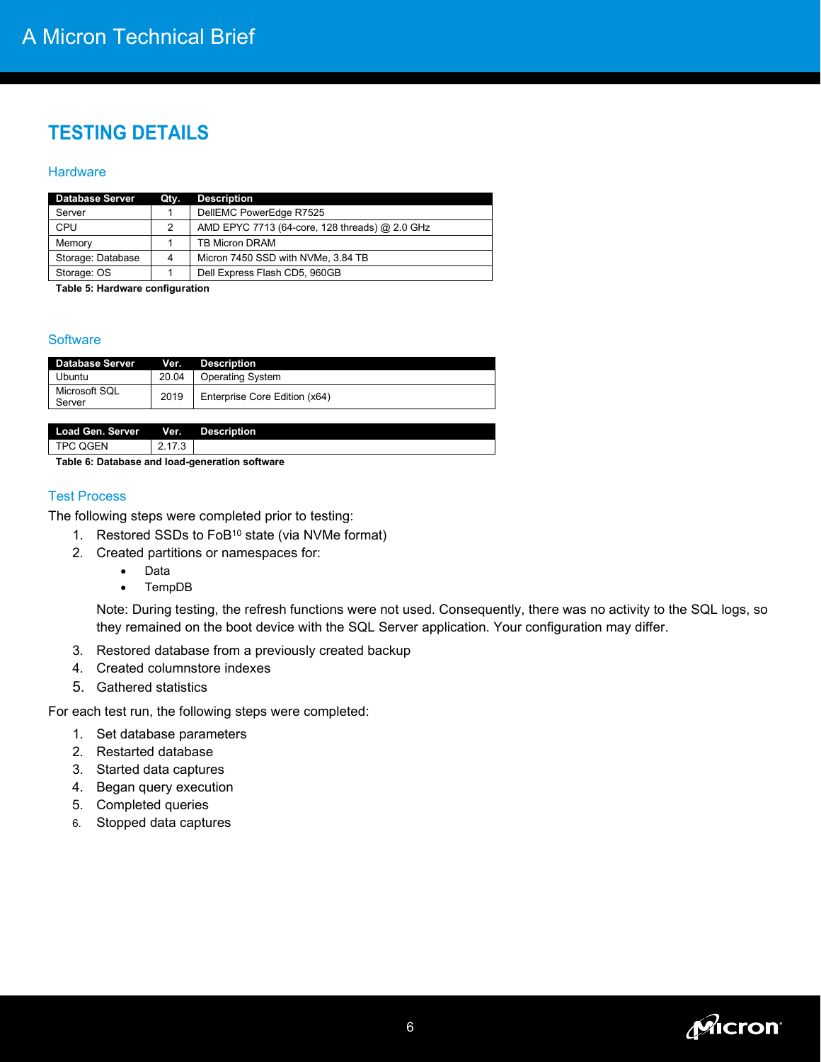# **TESTING DETAILS**

#### **Hardware**

| <b>Database Server</b> | Qty. | <b>Description</b>                             |
|------------------------|------|------------------------------------------------|
| Server                 |      | DellEMC PowerEdge R7525                        |
| CPU                    | 2    | AMD EPYC 7713 (64-core, 128 threads) @ 2.0 GHz |
| Memory                 |      | <b>TB Micron DRAM</b>                          |
| Storage: Database      | 4    | Micron 7450 SSD with NVMe, 3.84 TB             |
| Storage: OS            |      | Dell Express Flash CD5, 960GB                  |
| _ _                    | $-1$ | $\sim$ $\sim$                                  |

**Table 5: Hardware configuration**

### **Software**

| <b>Database Server</b>  | Ver.  | <b>Description</b>            |
|-------------------------|-------|-------------------------------|
| Ubuntu                  | 20.04 | <b>Operating System</b>       |
| Microsoft SQL<br>Server | 2019  | Enterprise Core Edition (x64) |
|                         |       |                               |
| <b>Load Gen. Server</b> | Ver.  | <b>Description</b>            |

TPC QGEN 2.17.3

**Table 6: Database and load-generation software** 

### Test Process

The following steps were completed prior to testing:

- 1. Restored SSDs to FoB10 state (via NVMe format)
- 2. Created partitions or namespaces for:
	- Data
	- TempDB

Note: During testing, the refresh functions were not used. Consequently, there was no activity to the SQL logs, so they remained on the boot device with the SQL Server application. Your configuration may differ.

- 3. Restored database from a previously created backup
- 4. Created columnstore indexes
- 5. Gathered statistics

For each test run, the following steps were completed:

- 1. Set database parameters
- 2. Restarted database
- 3. Started data captures
- 4. Began query execution
- 5. Completed queries
- 6. Stopped data captures